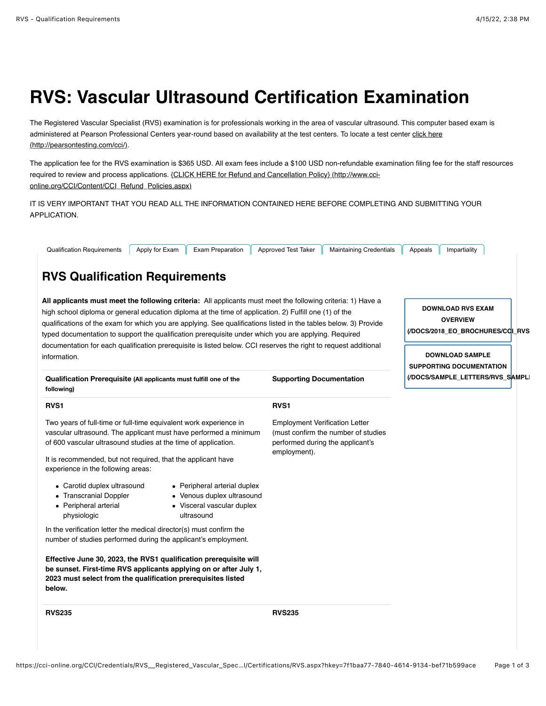# **RVS: Vascular Ultrasound Certification Examination**

The Registered Vascular Specialist (RVS) examination is for professionals working in the area of vascular ultrasound. This computer based exam is [administered at Pearson Professional Centers year-round based on availability at the test centers. To locate a test center click here](http://pearsontesting.com/cci/) (http://pearsontesting.com/cci/).

The application fee for the RVS examination is \$365 USD. All exam fees include a \$100 USD non-refundable examination filing fee for the staff resources [required to review and process applications. {CLICK HERE for Refund and Cancellation Policy} \(http://www.cci](http://www.cci-online.org/CCI/Content/CCI_Refund_Policies.aspx)online.org/CCI/Content/CCI\_Refund\_Policies.aspx)

IT IS VERY IMPORTANT THAT YOU READ ALL THE INFORMATION CONTAINED HERE BEFORE COMPLETING AND SUBMITTING YOUR APPLICATION.

| <b>Qualification Requirements</b><br>Apply for Exam<br><b>Exam Preparation</b>                                                                                                                                                                                                                                                                                                                                                                                                                                                                                                       | Approved Test Taker<br><b>Maintaining Credentials</b>                                                                            | Impartiality<br>Appeals                                                                                                                     |  |
|--------------------------------------------------------------------------------------------------------------------------------------------------------------------------------------------------------------------------------------------------------------------------------------------------------------------------------------------------------------------------------------------------------------------------------------------------------------------------------------------------------------------------------------------------------------------------------------|----------------------------------------------------------------------------------------------------------------------------------|---------------------------------------------------------------------------------------------------------------------------------------------|--|
| <b>RVS Qualification Requirements</b>                                                                                                                                                                                                                                                                                                                                                                                                                                                                                                                                                |                                                                                                                                  |                                                                                                                                             |  |
| All applicants must meet the following criteria: All applicants must meet the following criteria: 1) Have a<br>high school diploma or general education diploma at the time of application. 2) Fulfill one (1) of the<br>qualifications of the exam for which you are applying. See qualifications listed in the tables below. 3) Provide<br>typed documentation to support the qualification prerequisite under which you are applying. Required<br>documentation for each qualification prerequisite is listed below. CCI reserves the right to request additional<br>information. |                                                                                                                                  | <b>DOWNLOAD RVS EXAM</b><br><b>OVERVIEW</b><br>(/DOCS/2018_EO_BROCHURES/CCLRVS<br><b>DOWNLOAD SAMPLE</b><br><b>SUPPORTING DOCUMENTATION</b> |  |
| Qualification Prerequisite (All applicants must fulfill one of the<br>following)                                                                                                                                                                                                                                                                                                                                                                                                                                                                                                     | <b>Supporting Documentation</b>                                                                                                  | (/DOCS/SAMPLE_LETTERS/RVS_SAMPLI                                                                                                            |  |
| <b>RVS1</b>                                                                                                                                                                                                                                                                                                                                                                                                                                                                                                                                                                          | RVS <sub>1</sub>                                                                                                                 |                                                                                                                                             |  |
| Two years of full-time or full-time equivalent work experience in<br>vascular ultrasound. The applicant must have performed a minimum<br>of 600 vascular ultrasound studies at the time of application.<br>It is recommended, but not required, that the applicant have<br>experience in the following areas:                                                                                                                                                                                                                                                                        | <b>Employment Verification Letter</b><br>(must confirm the number of studies<br>performed during the applicant's<br>employment). |                                                                                                                                             |  |
| • Peripheral arterial duplex<br>• Carotid duplex ultrasound<br>• Transcranial Doppler<br>• Venous duplex ultrasound<br>• Peripheral arterial<br>• Visceral vascular duplex<br>physiologic<br>ultrasound                                                                                                                                                                                                                                                                                                                                                                              |                                                                                                                                  |                                                                                                                                             |  |
| In the verification letter the medical director(s) must confirm the<br>number of studies performed during the applicant's employment.                                                                                                                                                                                                                                                                                                                                                                                                                                                |                                                                                                                                  |                                                                                                                                             |  |
| Effective June 30, 2023, the RVS1 qualification prerequisite will<br>be sunset. First-time RVS applicants applying on or after July 1,<br>2023 must select from the qualification prerequisites listed<br>below.                                                                                                                                                                                                                                                                                                                                                                     |                                                                                                                                  |                                                                                                                                             |  |
| <b>RVS235</b>                                                                                                                                                                                                                                                                                                                                                                                                                                                                                                                                                                        | <b>RVS235</b>                                                                                                                    |                                                                                                                                             |  |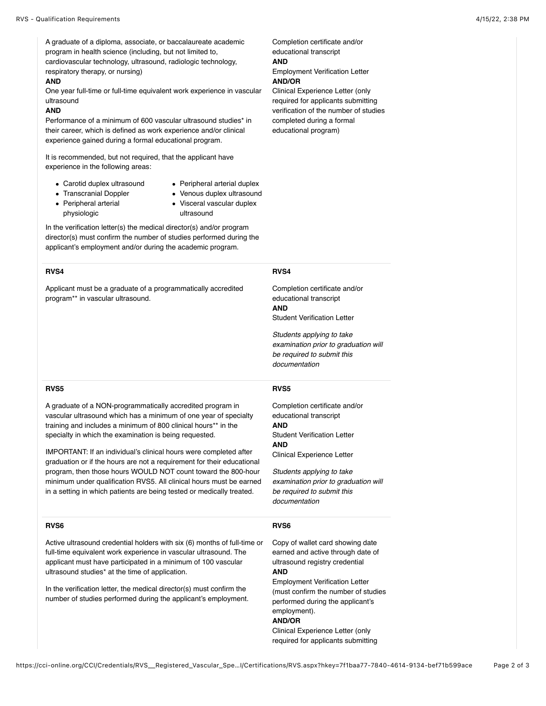A graduate of a diploma, associate, or baccalaureate academic program in health science (including, but not limited to, cardiovascular technology, ultrasound, radiologic technology, respiratory therapy, or nursing)

#### **AND**

One year full-time or full-time equivalent work experience in vascular ultrasound

## **AND**

Performance of a minimum of 600 vascular ultrasound studies\* in their career, which is defined as work experience and/or clinical experience gained during a formal educational program.

It is recommended, but not required, that the applicant have experience in the following areas:

- Carotid duplex ultrasound
- Peripheral arterial duplex
- Transcranial Doppler
- Venous duplex ultrasound
- Peripheral arterial physiologic
- Visceral vascular duplex ultrasound

In the verification letter(s) the medical director(s) and/or program director(s) must confirm the number of studies performed during the applicant's employment and/or during the academic program.

## **RVS4**

Applicant must be a graduate of a programmatically accredited program\*\* in vascular ultrasound.

Completion certificate and/or educational transcript **AND** Employment Verification Letter

**AND/OR** Clinical Experience Letter (only required for applicants submitting verification of the number of studies completed during a formal

educational program)

# **RVS4**

Completion certificate and/or educational transcript **AND** Student Verification Letter

*Students applying to take examination prior to graduation will be required to submit this documentation*

## **RVS5**

A graduate of a NON-programmatically accredited program in vascular ultrasound which has a minimum of one year of specialty training and includes a minimum of 800 clinical hours\*\* in the specialty in which the examination is being requested.

IMPORTANT: If an individual's clinical hours were completed after graduation or if the hours are not a requirement for their educational program, then those hours WOULD NOT count toward the 800-hour minimum under qualification RVS5. All clinical hours must be earned in a setting in which patients are being tested or medically treated.

# **RVS6**

Active ultrasound credential holders with six (6) months of full-time or full-time equivalent work experience in vascular ultrasound. The applicant must have participated in a minimum of 100 vascular ultrasound studies\* at the time of application.

In the verification letter, the medical director(s) must confirm the number of studies performed during the applicant's employment.

### **RVS5**

Completion certificate and/or educational transcript **AND** Student Verification Letter **AND** Clinical Experience Letter

*Students applying to take examination prior to graduation will be required to submit this documentation*

### **RVS6**

Copy of wallet card showing date earned and active through date of ultrasound registry credential **AND**

Employment Verification Letter (must confirm the number of studies performed during the applicant's employment). **AND/OR**

Clinical Experience Letter (only required for applicants submitting